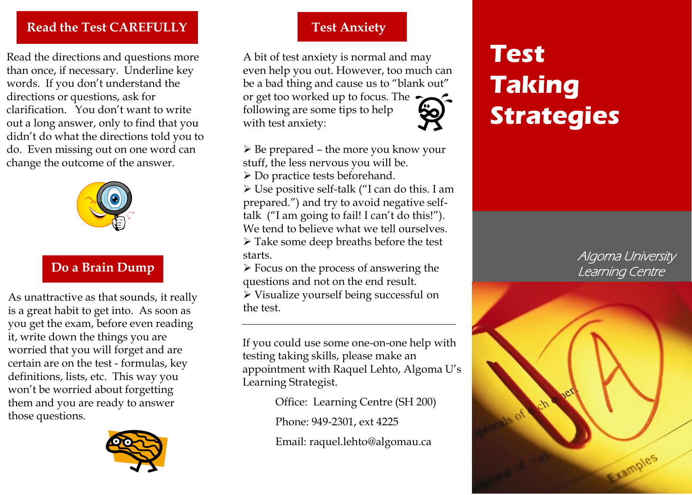#### **Read the Test CAREFULLY**

Read the directions and questions more than once, if necessary. Underline key words. If you don't understand the directions or questions, ask for clarification. You don't want to write out a long answer, only to find that you didn't do what the directions told you to do. Even missing out on one word can change the outcome of the answer.



# **Do a Brain Dump**

As unattractive as that sounds, it really is a great habit to get into. As soon as you get the exam, before even reading it, write down the things you are worried that you will forget and are certain are on the test - formulas, key definitions, lists, etc. This way you won't be worried about forgetting them and you are ready to answer those questions.



## **Test Anxiety**

A bit of test anxiety is normal and may even help you out. However, too much can be a bad thing and cause us to "blank out" or get too worked up to focus. The following are some tips to help with test anxiety:

- $\triangleright$  Be prepared the more you know your stuff, the less nervous you will be. Do practice tests beforehand.
- Use positive self-talk ("I can do this. I am prepared.") and try to avoid negative selftalk ("I am going to fail! I can't do this!"). We tend to believe what we tell ourselves.  $\triangleright$  Take some deep breaths before the test
- starts.
- $\triangleright$  Focus on the process of answering the questions and not on the end result.
- Visualize yourself being successful on the test.

If you could use some one-on-one help with testing taking skills, please make an appointment with Raquel Lehto, Algoma U's Learning Strategist.

Office: Learning Centre (SH 200)

Phone: 949-2301, ext 4225

Email: raquel.lehto@algomau.ca

# **Test Taking Strategies**

Algoma University Learning Centre